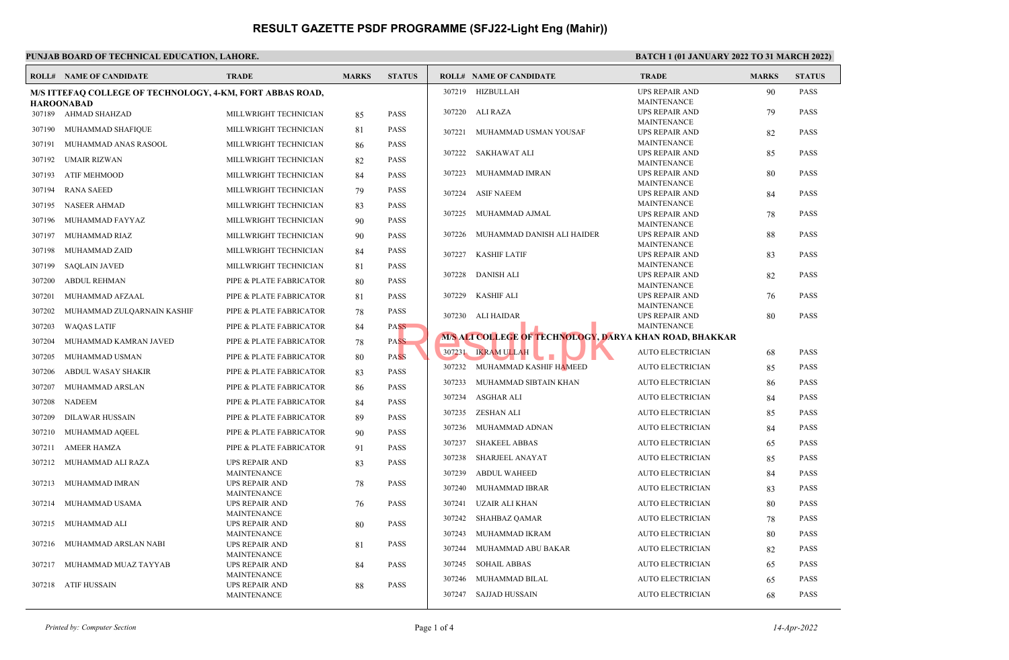### **PUNJAB BOARD OF TECHNICAL EDUCATION, LAHORE. BATCH 1 (01 JANUARY 2022 TO 31 MARCH 2022) ROLL# NAME OF CANDIDATE TRADE MARKS STATUS ROLL# NAME OF CANDIDATE TRADE MARKS STATUS M/S ITTEFAQ COLLEGE OF TECHNOLOGY, 4-KM, FORT ABBAS ROAD, HAROONABAD** 307189 AHMAD SHAHZAD MILLWRIGHT TECHNICIAN 85 PASS 307190 MUHAMMAD SHAFIQUE MILLWRIGHT TECHNICIAN 81 PASS 307191 MUHAMMAD ANAS RASOOL MILLWRIGHT TECHNICIAN 86 PASS 307192 UMAIR RIZWAN MILLWRIGHT TECHNICIAN 82 PASS 307193 ATIF MEHMOOD MILLWRIGHT TECHNICIAN 84 PASS 307194 RANA SAEED MILLWRIGHT TECHNICIAN 79 PASS 307195 NASEER AHMAD MILLWRIGHT TECHNICIAN 83 PASS 307196 MUHAMMAD FAYYAZ MILLWRIGHT TECHNICIAN 90 PASS 307197 MUHAMMAD RIAZ MILLWRIGHT TECHNICIAN 90 PASS 307198 MUHAMMAD ZAID MILLWRIGHT TECHNICIAN 84 PASS 307199 SAQLAIN JAVED MILLWRIGHT TECHNICIAN 81 PASS 307200 ABDUL REHMAN PIPE & PLATE FABRICATOR 80 PASS 307201 MUHAMMAD AFZAAL PIPE & PLATE FABRICATOR 81 PASS 307202 MUHAMMAD ZULQARNAIN KASHIF PIPE & PLATE FABRICATOR 78 PASS 307203 WAQAS LATIF PIPE & PLATE FABRICATOR 84 PASS 307204 MUHAMMAD KAMRAN JAVED PIPE & PLATE FABRICATOR 78 PASS 307205 MUHAMMAD USMAN PIPE & PLATE FABRICATOR 80 PASS 307206 ABDUL WASAY SHAKIR PIPE & PLATE FABRICATOR 83 PASS 307207 MUHAMMAD ARSLAN PIPE & PLATE FABRICATOR 86 PASS 307208 NADEEM PIPE & PLATE FABRICATOR 84 PASS 307209 DILAWAR HUSSAIN PIPE & PLATE FABRICATOR 89 PASS 307210 MUHAMMAD AQEEL PIPE & PLATE FABRICATOR 90 PASS 307211 AMEER HAMZA PIPE & PLATE FABRICATOR 91 PASS UPS REPAIR AND 83 PASS MAINTENANCE 307212 MUHAMMAD ALI RAZA UPS REPAIR AND 78 PASS MAINTENANCE 307213 MUHAMMAD IMRAN UPS REPAIR AND 76 PASS MAINTENANCE 307214 MUHAMMAD USAMA UPS REPAIR AND 80 PASS MAINTENANCE 307215 MUHAMMAD ALI UPS REPAIR AND 81 PASS MAINTENANCE 307216 MUHAMMAD ARSLAN NABI UPS REPAIR AND 84 PASS MAINTENANCE 307217 MUHAMMAD MUAZ TAYYAB UPS REPAIR AND 88 PASS 307218 ATIF HUSSAIN UPS REPAIR AND 90 PASS MAINTENANCE 307219 HIZBULLAH UPS REPAIR AND 79 PASS MAINTENANCE 307220 ALI RAZA UPS REPAIR AND 82 PASS MAINTENANCE 307221 MUHAMMAD USMAN YOUSAF UPS REPAIR AND 85 PASS MAINTENANCE 307222 SAKHAWAT ALI UPS REPAIR AND 80 PASS MAINTENANCE 307223 MUHAMMAD IMRAN UPS REPAIR AND 84 PASS MAINTENANCE 307224 ASIF NAEEM UPS REPAIR AND 78 PASS MAINTENANCE 307225 MUHAMMAD AJMAL UPS REPAIR AND 88 PASS MAINTENANCE 307226 MUHAMMAD DANISH ALI HAIDER UPS REPAIR AND 83 PASS MAINTENANCE 307227 KASHIF LATIF UPS REPAIR AND 82 PASS MAINTENANCE 307228 DANISH ALI UPS REPAIR AND 76 PASS MAINTENANCE 307229 KASHIF ALI UPS REPAIR AND 80 PASS MAINTENANCE 307230 ALI HAIDAR **M/S ALI COLLEGE OF TECHNOLOGY, DARYA KHAN ROAD, BHAKKAR** 307231 IKRAM ULLAH AUTO ELECTRICIAN 68 PASS 307232 MUHAMMAD KASHIF HAMEED AUTO ELECTRICIAN 85 PASS 307233 MUHAMMAD SIBTAIN KHAN AUTO ELECTRICIAN 86 PASS 307234 ASGHAR ALI AUTO ELECTRICIAN 84 PASS 307235 ZESHAN ALI AUTO ELECTRICIAN 85 PASS 307236 MUHAMMAD ADNAN AUTO ELECTRICIAN 84 PASS 307237 SHAKEEL ABBAS AUTO ELECTRICIAN 65 PASS 307238 SHARJEEL ANAYAT AUTO ELECTRICIAN 85 PASS 307239 ABDUL WAHEED AUTO ELECTRICIAN 84 PASS 307240 MUHAMMAD IBRAR AUTO ELECTRICIAN 83 PASS 307241 UZAIR ALI KHAN AUTO ELECTRICIAN 80 PASS 307242 SHAHBAZ QAMAR AUTO ELECTRICIAN 78 PASS 307243 MUHAMMAD IKRAM AUTO ELECTRICIAN 80 PASS 307244 MUHAMMAD ABU BAKAR AUTO ELECTRICIAN 82 PASS 307245 SOHAIL ABBAS AUTO ELECTRICIAN 65 PASS 307246 MUHAMMAD BILAL AUTO ELECTRICIAN 65 PASS 307247 SAJJAD HUSSAIN AUTO ELECTRICIAN 68 PASS NS<br>
MS ALI COLLEGE OF TECHNOLOGY, DA<br>
307231 IRRAMULLAH<br>
307232 MUHAMMAD KASHIF HAMEED

MAINTENANCE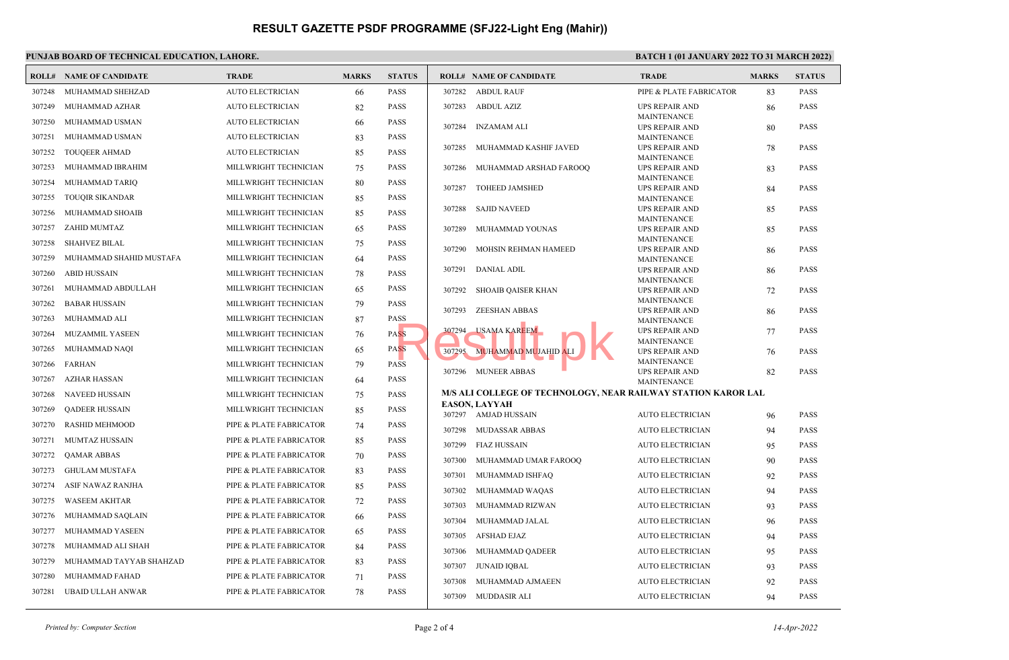## PUNJAB BOARD OF TECHNICAL EDUCATION, LAHORE. **BATCH 1 (01 JANUARY 2022 TO 31 MARCH 2022**)

|        | <b>ROLL# NAME OF CANDIDATE</b> | <b>TRADE</b>            | <b>MARKS</b> | <b>STATUS</b> | <b>ROLL# NAME OF CANDIDATE</b>                                                        | <b>TRADE</b>                                | <b>MARKS</b> | <b>STATUS</b> |
|--------|--------------------------------|-------------------------|--------------|---------------|---------------------------------------------------------------------------------------|---------------------------------------------|--------------|---------------|
| 307248 | MUHAMMAD SHEHZAD               | <b>AUTO ELECTRICIAN</b> | 66           | <b>PASS</b>   | <b>ABDUL RAUF</b><br>307282                                                           | PIPE & PLATE FABRICATOR                     | 83           | <b>PASS</b>   |
| 307249 | MUHAMMAD AZHAR                 | AUTO ELECTRICIAN        | 82           | <b>PASS</b>   | 307283<br><b>ABDUL AZIZ</b>                                                           | <b>UPS REPAIR AND</b>                       | 86           | <b>PASS</b>   |
| 307250 | MUHAMMAD USMAN                 | <b>AUTO ELECTRICIAN</b> | 66           | <b>PASS</b>   | 307284<br><b>INZAMAM ALI</b>                                                          | MAINTENANCE<br><b>UPS REPAIR AND</b>        | 80           | <b>PASS</b>   |
| 307251 | MUHAMMAD USMAN                 | <b>AUTO ELECTRICIAN</b> | 83           | <b>PASS</b>   |                                                                                       | <b>MAINTENANCE</b>                          |              |               |
| 307252 | TOUQEER AHMAD                  | <b>AUTO ELECTRICIAN</b> | 85           | <b>PASS</b>   | 307285<br>MUHAMMAD KASHIF JAVED                                                       | <b>UPS REPAIR AND</b>                       | 78           | <b>PASS</b>   |
| 307253 | MUHAMMAD IBRAHIM               | MILLWRIGHT TECHNICIAN   | 75           | <b>PASS</b>   | 307286<br>MUHAMMAD ARSHAD FAROOQ                                                      | <b>MAINTENANCE</b><br><b>UPS REPAIR AND</b> | 83           | <b>PASS</b>   |
| 307254 | MUHAMMAD TARIQ                 | MILLWRIGHT TECHNICIAN   | 80           | <b>PASS</b>   | <b>TOHEED JAMSHED</b><br>307287                                                       | MAINTENANCE<br><b>UPS REPAIR AND</b>        |              | <b>PASS</b>   |
| 307255 | <b>TOUQIR SIKANDAR</b>         | MILLWRIGHT TECHNICIAN   | 85           | <b>PASS</b>   |                                                                                       | <b>MAINTENANCE</b>                          | 84           |               |
| 307256 | MUHAMMAD SHOAIB                | MILLWRIGHT TECHNICIAN   | 85           | <b>PASS</b>   | 307288<br><b>SAJID NAVEED</b>                                                         | <b>UPS REPAIR AND</b>                       | 85           | <b>PASS</b>   |
| 307257 | ZAHID MUMTAZ                   | MILLWRIGHT TECHNICIAN   | 65           | <b>PASS</b>   | 307289<br>MUHAMMAD YOUNAS                                                             | <b>MAINTENANCE</b><br><b>UPS REPAIR AND</b> | 85           | <b>PASS</b>   |
| 307258 | <b>SHAHVEZ BILAL</b>           | MILLWRIGHT TECHNICIAN   | 75           | <b>PASS</b>   |                                                                                       | <b>MAINTENANCE</b>                          |              |               |
| 307259 | MUHAMMAD SHAHID MUSTAFA        | MILLWRIGHT TECHNICIAN   | 64           | <b>PASS</b>   | 307290<br>MOHSIN REHMAN HAMEED                                                        | <b>UPS REPAIR AND</b><br><b>MAINTENANCE</b> | 86           | <b>PASS</b>   |
| 307260 | <b>ABID HUSSAIN</b>            | MILLWRIGHT TECHNICIAN   | 78           | <b>PASS</b>   | 307291<br><b>DANIAL ADIL</b>                                                          | UPS REPAIR AND                              | 86           | <b>PASS</b>   |
| 307261 | MUHAMMAD ABDULLAH              | MILLWRIGHT TECHNICIAN   | 65           | <b>PASS</b>   | 307292<br><b>SHOAIB OAISER KHAN</b>                                                   | <b>MAINTENANCE</b>                          |              | <b>PASS</b>   |
| 307262 | <b>BABAR HUSSAIN</b>           | MILLWRIGHT TECHNICIAN   | 79           | <b>PASS</b>   |                                                                                       | <b>UPS REPAIR AND</b><br><b>MAINTENANCE</b> | 72           |               |
| 307263 | MUHAMMAD ALI                   | MILLWRIGHT TECHNICIAN   |              | <b>PASS</b>   | 307293<br><b>ZEESHAN ABBAS</b>                                                        | <b>UPS REPAIR AND</b>                       | 86           | <b>PASS</b>   |
|        |                                |                         | 87           |               | <b>USAMA KAREEM</b><br>307294                                                         | <b>MAINTENANCE</b><br><b>UPS REPAIR AND</b> | 77           | <b>PASS</b>   |
| 307264 | MUZAMMIL YASEEN                | MILLWRIGHT TECHNICIAN   | 76           | <b>PASS</b>   |                                                                                       | <b>MAINTENANCE</b>                          |              |               |
| 307265 | MUHAMMAD NAQI                  | MILLWRIGHT TECHNICIAN   | 65           | <b>PASS</b>   | 307295<br>MUHAMMAD MUJAHID ALI                                                        | <b>UPS REPAIR AND</b><br><b>MAINTENANCE</b> | 76           | <b>PASS</b>   |
| 307266 | FARHAN                         | MILLWRIGHT TECHNICIAN   | 79           | <b>PASS</b>   | 307296 MUNEER ABBAS                                                                   | <b>UPS REPAIR AND</b>                       | 82           | <b>PASS</b>   |
| 307267 | AZHAR HASSAN                   | MILLWRIGHT TECHNICIAN   | 64           | <b>PASS</b>   |                                                                                       | <b>MAINTENANCE</b>                          |              |               |
| 307268 | <b>NAVEED HUSSAIN</b>          | MILLWRIGHT TECHNICIAN   | 75           | <b>PASS</b>   | M/S ALI COLLEGE OF TECHNOLOGY, NEAR RAILWAY STATION KAROR LAL<br><b>EASON, LAYYAH</b> |                                             |              |               |
| 307269 | <b>QADEER HUSSAIN</b>          | MILLWRIGHT TECHNICIAN   | 85           | <b>PASS</b>   | 307297 AMJAD HUSSAIN                                                                  | <b>AUTO ELECTRICIAN</b>                     | 96           | <b>PASS</b>   |
| 307270 | <b>RASHID MEHMOOD</b>          | PIPE & PLATE FABRICATOR | 74           | <b>PASS</b>   | 307298<br><b>MUDASSAR ABBAS</b>                                                       | <b>AUTO ELECTRICIAN</b>                     | 94           | <b>PASS</b>   |
| 307271 | MUMTAZ HUSSAIN                 | PIPE & PLATE FABRICATOR | 85           | <b>PASS</b>   | 307299<br><b>FIAZ HUSSAIN</b>                                                         | <b>AUTO ELECTRICIAN</b>                     | 95           | <b>PASS</b>   |
| 307272 | <b>QAMAR ABBAS</b>             | PIPE & PLATE FABRICATOR | 70           | <b>PASS</b>   | 307300<br>MUHAMMAD UMAR FAROOO                                                        | <b>AUTO ELECTRICIAN</b>                     | 90           | <b>PASS</b>   |
| 307273 | <b>GHULAM MUSTAFA</b>          | PIPE & PLATE FABRICATOR | 83           | <b>PASS</b>   | 307301<br>MUHAMMAD ISHFAQ                                                             | <b>AUTO ELECTRICIAN</b>                     | 92           | <b>PASS</b>   |
| 307274 | ASIF NAWAZ RANJHA              | PIPE & PLATE FABRICATOR | 85           | <b>PASS</b>   | 307302<br>MUHAMMAD WAQAS                                                              | <b>AUTO ELECTRICIAN</b>                     | 94           | <b>PASS</b>   |
| 307275 | <b>WASEEM AKHTAR</b>           | PIPE & PLATE FABRICATOR | 72           | <b>PASS</b>   | 307303<br>MUHAMMAD RIZWAN                                                             | <b>AUTO ELECTRICIAN</b>                     | 93           | <b>PASS</b>   |
| 307276 | MUHAMMAD SAQLAIN               | PIPE & PLATE FABRICATOR | 66           | <b>PASS</b>   | MUHAMMAD JALAL<br>307304                                                              | <b>AUTO ELECTRICIAN</b>                     | 96           | <b>PASS</b>   |
| 307277 | MUHAMMAD YASEEN                | PIPE & PLATE FABRICATOR | 65           | <b>PASS</b>   | <b>AFSHAD EJAZ</b><br>307305                                                          | <b>AUTO ELECTRICIAN</b>                     | 94           | <b>PASS</b>   |
| 307278 | MUHAMMAD ALI SHAH              | PIPE & PLATE FABRICATOR | 84           | PASS          | 307306<br>MUHAMMAD QADEER                                                             | <b>AUTO ELECTRICIAN</b>                     | 95           | PASS          |
| 307279 | MUHAMMAD TAYYAB SHAHZAD        | PIPE & PLATE FABRICATOR | 83           | <b>PASS</b>   |                                                                                       |                                             |              |               |
| 307280 | MUHAMMAD FAHAD                 | PIPE & PLATE FABRICATOR | 71           | <b>PASS</b>   | 307307<br><b>JUNAID IQBAL</b>                                                         | <b>AUTO ELECTRICIAN</b>                     | 93           | <b>PASS</b>   |
| 307281 | UBAID ULLAH ANWAR              | PIPE & PLATE FABRICATOR | 78           | <b>PASS</b>   | MUHAMMAD AJMAEEN<br>307308                                                            | <b>AUTO ELECTRICIAN</b>                     | 92           | <b>PASS</b>   |
|        |                                |                         |              |               | 307309<br><b>MUDDASIR ALI</b>                                                         | <b>AUTO ELECTRICIAN</b>                     | 94           | <b>PASS</b>   |

Printed by: Computer Section 14-Apr-2022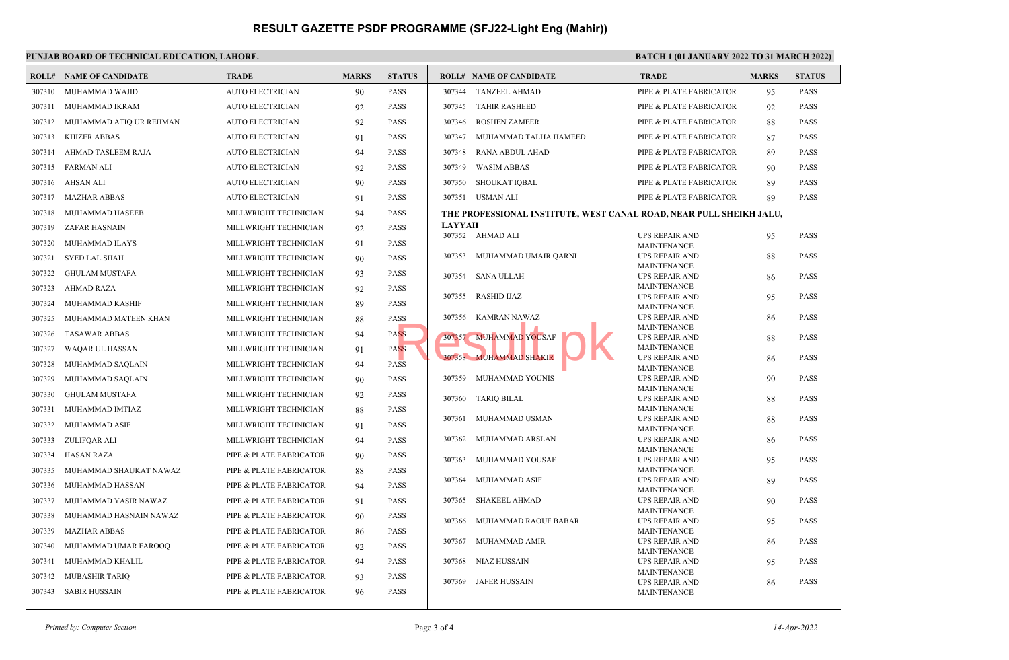### **PUNJAB BOARD OF TECHNICAL EDUCATION, LAHORE. BATCH 1 (01 JANUARY 2022 TO 31 MARCH 2022) ROLL# NAME OF CANDIDATE TRADE MARKS STATUS ROLL# NAME OF CANDIDATE TRADE MARKS STATUS** 307310 MUHAMMAD WAJID AUTO ELECTRICIAN 90 PASS 307311 MUHAMMAD IKRAM AUTO ELECTRICIAN 92 PASS 307312 MUHAMMAD ATIQ UR REHMAN AUTO ELECTRICIAN 92 PASS 307313 KHIZER ABBAS AUTO ELECTRICIAN 91 PASS 307314 AHMAD TASLEEM RAJA AUTO ELECTRICIAN 94 PASS 307315 FARMAN ALI AUTO ELECTRICIAN 92 PASS 307316 AHSAN ALI AUTO ELECTRICIAN 90 PASS 307317 MAZHAR ABBAS AUTO ELECTRICIAN 91 PASS 307318 MUHAMMAD HASEEB MILLWRIGHT TECHNICIAN 94 PASS 307319 ZAFAR HASNAIN MILLWRIGHT TECHNICIAN 92 PASS 307320 MUHAMMAD ILAYS MILLWRIGHT TECHNICIAN 91 PASS 307321 SYED LAL SHAH MILLWRIGHT TECHNICIAN 90 PASS 307322 GHULAM MUSTAFA MILLWRIGHT TECHNICIAN 93 PASS 307323 AHMAD RAZA MILLWRIGHT TECHNICIAN 92 PASS 307324 MUHAMMAD KASHIF MILLWRIGHT TECHNICIAN 89 PASS 307325 MUHAMMAD MATEEN KHAN MILLWRIGHT TECHNICIAN 88 PASS 307326 TASAWAR ABBAS MILLWRIGHT TECHNICIAN 94 PASS 307327 WAQAR UL HASSAN MILLWRIGHT TECHNICIAN 91 PASS 307328 MUHAMMAD SAQLAIN MILLWRIGHT TECHNICIAN 94 PASS 307329 MUHAMMAD SAQLAIN MILLWRIGHT TECHNICIAN 90 PASS 307330 GHULAM MUSTAFA MILLWRIGHT TECHNICIAN 92 PASS 307331 MUHAMMAD IMTIAZ MILLWRIGHT TECHNICIAN 88 PASS 307332 MUHAMMAD ASIF MILLWRIGHT TECHNICIAN 91 PASS 307333 ZULIFQAR ALI MILLWRIGHT TECHNICIAN 94 PASS 307334 HASAN RAZA PIPE & PLATE FABRICATOR 90 PASS 307335 MUHAMMAD SHAUKAT NAWAZ PIPE & PLATE FABRICATOR 88 PASS 307336 MUHAMMAD HASSAN PIPE & PLATE FABRICATOR 94 PASS 307337 MUHAMMAD YASIR NAWAZ PIPE & PLATE FABRICATOR 91 PASS 307338 MUHAMMAD HASNAIN NAWAZ PIPE & PLATE FABRICATOR 90 PASS 307339 MAZHAR ABBAS PIPE & PLATE FABRICATOR 86 PASS 307340 MUHAMMAD UMAR FAROOQ PIPE & PLATE FABRICATOR 92 PASS 307341 MUHAMMAD KHALIL PIPE & PLATE FABRICATOR 94 PASS 307342 MUBASHIR TARIQ PIPE & PLATE FABRICATOR 93 PASS 307343 SABIR HUSSAIN PIPE & PLATE FABRICATOR 96 PASS 307344 TANZEEL AHMAD PIPE & PLATE FABRICATOR 95 PASS 307345 TAHIR RASHEED PIPE & PLATE FABRICATOR 92 PASS 307346 ROSHEN ZAMEER PIPE & PLATE FABRICATOR 88 PASS 307347 MUHAMMAD TALHA HAMEED PIPE & PLATE FABRICATOR 87 PASS 307348 RANA ABDUL AHAD PIPE & PLATE FABRICATOR 89 PASS 307349 WASIM ABBAS PIPE & PLATE FABRICATOR 90 PASS 307350 SHOUKAT IQBAL PIPE & PLATE FABRICATOR 89 PASS 307351 USMAN ALI PIPE & PLATE FABRICATOR 89 PASS **THE PROFESSIONAL INSTITUTE, WEST CANAL ROAD, NEAR PULL SHEIKH JALU, LAYYAH** UPS REPAIR AND 95 PASS MAINTENANCE 307352 AHMAD ALI UPS REPAIR AND 88 PASS MAINTENANCE 307353 MUHAMMAD UMAIR QARNI UPS REPAIR AND 86 PASS MAINTENANCE 307354 SANA ULLAH UPS REPAIR AND 95 PASS MAINTENANCE 307355 RASHID IJAZ UPS REPAIR AND 86 PASS MAINTENANCE 307356 KAMRAN NAWAZ UPS REPAIR AND 88 PASS MAINTENANCE 307357 MUHAMMAD YOUSAF UPS REPAIR AND 86 PASS MAINTENANCE 307358 MUHAMMAD SHAKIR UPS REPAIR AND 90 PASS MAINTENANCE 307359 MUHAMMAD YOUNIS UPS REPAIR AND 88 PASS MAINTENANCE 307360 TARIQ BILAL UPS REPAIR AND 88 PASS MAINTENANCE 307361 MUHAMMAD USMAN UPS REPAIR AND 86 PASS MAINTENANCE 307362 MUHAMMAD ARSLAN UPS REPAIR AND 95 PASS MAINTENANCE 307363 MUHAMMAD YOUSAF UPS REPAIR AND 89 PASS MAINTENANCE 307364 MUHAMMAD ASIF UPS REPAIR AND 90 PASS MAINTENANCE 307365 SHAKEEL AHMAD UPS REPAIR AND 95 PASS MAINTENANCE 307366 MUHAMMAD RAOUF BABAR UPS REPAIR AND 86 PASS MAINTENANCE 307367 MUHAMMAD AMIR UPS REPAIR AND 95 PASS MAINTENANCE 307368 NIAZ HUSSAIN UPS REPAIR AND 86 PASS MAINTENANCE 307369 JAFER HUSSAIN SSS SUSSO KAWAKA NAWAZ